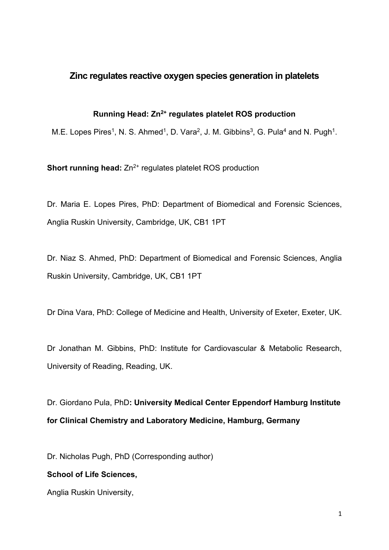# **Zinc regulates reactive oxygen species generation in platelets**

**Running Head: Zn2+ regulates platelet ROS production**

M.E. Lopes Pires<sup>1</sup>, N. S. Ahmed<sup>1</sup>, D. Vara<sup>2</sup>, J. M. Gibbins<sup>3</sup>, G. Pula<sup>4</sup> and N. Pugh<sup>1</sup>.

**Short running head:**  $Zn^{2+}$  regulates platelet ROS production

Dr. Maria E. Lopes Pires, PhD: Department of Biomedical and Forensic Sciences, Anglia Ruskin University, Cambridge, UK, CB1 1PT

Dr. Niaz S. Ahmed, PhD: Department of Biomedical and Forensic Sciences, Anglia Ruskin University, Cambridge, UK, CB1 1PT

Dr Dina Vara, PhD: College of Medicine and Health, University of Exeter, Exeter, UK.

Dr Jonathan M. Gibbins, PhD: Institute for [Cardiovascular](https://www.reading.ac.uk/icmr/icmr-home.aspx) & Metabolic Research, University of Reading, Reading, UK.

Dr. Giordano Pula, PhD**: University Medical Center Eppendorf Hamburg Institute for Clinical Chemistry and Laboratory Medicine, Hamburg, Germany**

Dr. Nicholas Pugh, PhD (Corresponding author)

## **School of Life Sciences,**

Anglia Ruskin University,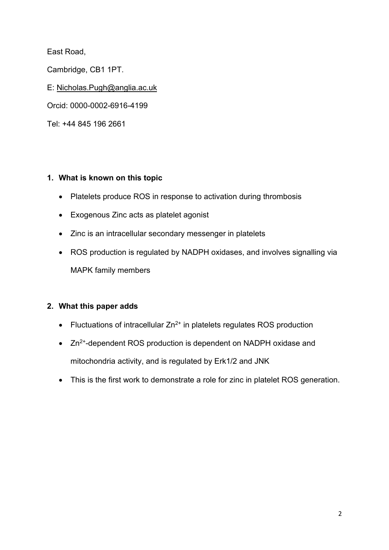East Road,

Cambridge, CB1 1PT.

E: [Nicholas.Pugh@anglia.ac.uk](mailto:Nicholas.Pugh@anglia.ac.uk)

Orcid: 0000-0002-6916-4199

Tel: +44 845 196 2661

# **1. What is known on this topic**

- Platelets produce ROS in response to activation during thrombosis
- Exogenous Zinc acts as platelet agonist
- Zinc is an intracellular secondary messenger in platelets
- ROS production is regulated by NADPH oxidases, and involves signalling via MAPK family members

# **2. What this paper adds**

- Fluctuations of intracellular  $Zn^{2+}$  in platelets regulates ROS production
- Zn<sup>2+</sup>-dependent ROS production is dependent on NADPH oxidase and mitochondria activity, and is regulated by Erk1/2 and JNK
- This is the first work to demonstrate a role for zinc in platelet ROS generation.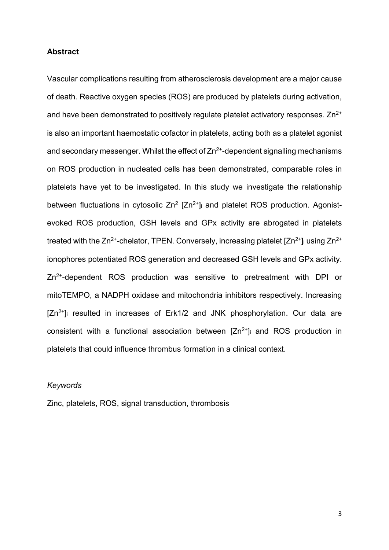#### **Abstract**

Vascular complications resulting from atherosclerosis development are a major cause of death. Reactive oxygen species (ROS) are produced by platelets during activation, and have been demonstrated to positively regulate platelet activatory responses.  $Zn^{2+}$ is also an important haemostatic cofactor in platelets, acting both as a platelet agonist and secondary messenger. Whilst the effect of  $Zn^{2+}$ -dependent signalling mechanisms on ROS production in nucleated cells has been demonstrated, comparable roles in platelets have yet to be investigated. In this study we investigate the relationship between fluctuations in cytosolic  $Zn^2$   $[Zn^{2+}]$  and platelet ROS production. Agonistevoked ROS production, GSH levels and GPx activity are abrogated in platelets treated with the  $Zn^{2+}$ -chelator, TPEN. Conversely, increasing platelet  $[Zn^{2+}]$  using  $Zn^{2+}$ ionophores potentiated ROS generation and decreased GSH levels and GPx activity. Zn<sup>2+</sup>-dependent ROS production was sensitive to pretreatment with DPI or mitoTEMPO, a NADPH oxidase and mitochondria inhibitors respectively. Increasing  $[Zn^{2+}]$  resulted in increases of Erk1/2 and JNK phosphorylation. Our data are consistent with a functional association between  $[Zn^{2+}]$  and ROS production in platelets that could influence thrombus formation in a clinical context.

#### *Keywords*

Zinc, platelets, ROS, signal transduction, thrombosis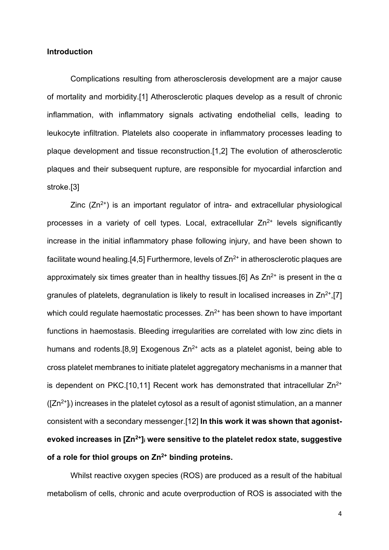#### **Introduction**

Complications resulting from atherosclerosis development are a major cause of mortality and morbidity.[1] Atherosclerotic plaques develop as a result of chronic inflammation, with inflammatory signals activating endothelial cells, leading to leukocyte infiltration. Platelets also cooperate in inflammatory processes leading to plaque development and tissue reconstruction.[1,2] The evolution of atherosclerotic plaques and their subsequent rupture, are responsible for myocardial infarction and stroke.[3]

Zinc  $(Zn^{2+})$  is an important regulator of intra- and extracellular physiological processes in a variety of cell types. Local, extracellular  $Zn^{2+}$  levels significantly increase in the initial inflammatory phase following injury, and have been shown to facilitate wound healing.[4,5] Furthermore, levels of  $Zn^{2+}$  in atherosclerotic plaques are approximately six times greater than in healthy tissues.[6] As  $Zn^{2+}$  is present in the  $\alpha$ granules of platelets, degranulation is likely to result in localised increases in  $\text{Zn}^{2+}$ , [7] which could regulate haemostatic processes.  $Zn^{2+}$  has been shown to have important functions in haemostasis. Bleeding irregularities are correlated with low zinc diets in humans and rodents.[8,9] Exogenous  $Zn^{2+}$  acts as a platelet agonist, being able to cross platelet membranes to initiate platelet aggregatory mechanisms in a manner that is dependent on PKC.[10,11] Recent work has demonstrated that intracellular  $Zn^{2+}$  $([Zn<sup>2+</sup>]$ ) increases in the platelet cytosol as a result of agonist stimulation, an a manner consistent with a secondary messenger.[12] **In this work it was shown that agonistevoked increases in [Zn2+]i were sensitive to the platelet redox state, suggestive of a role for thiol groups on Zn2+ binding proteins.**

Whilst reactive oxygen species (ROS) are produced as a result of the habitual metabolism of cells, chronic and acute overproduction of ROS is associated with the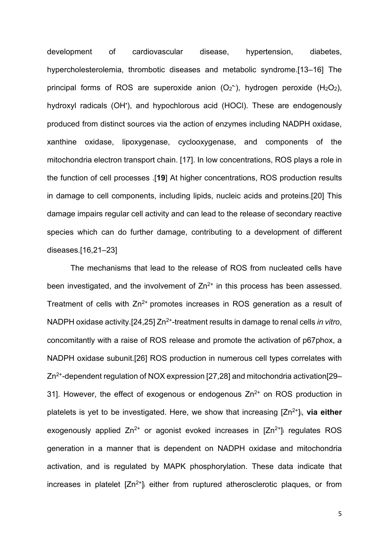development of cardiovascular disease, hypertension, diabetes, hypercholesterolemia, thrombotic diseases and metabolic syndrome.[13–16] The principal forms of ROS are superoxide anion  $(O_2^{\star})$ , hydrogen peroxide  $(H_2O_2)$ , hydroxyl radicals (OH'), and hypochlorous acid (HOCI). These are endogenously produced from distinct sources via the action of enzymes including NADPH oxidase, xanthine oxidase, lipoxygenase, cyclooxygenase, and components of the mitochondria electron transport chain. [17]. In low concentrations, ROS plays a role in the function of cell processes .[**19**] At higher concentrations, ROS production results in damage to cell components, including lipids, nucleic acids and proteins.[20] This damage impairs regular cell activity and can lead to the release of secondary reactive species which can do further damage, contributing to a development of different diseases.[16,21–23]

The mechanisms that lead to the release of ROS from nucleated cells have been investigated, and the involvement of  $Zn^{2+}$  in this process has been assessed. Treatment of cells with  $Zn^{2+}$  promotes increases in ROS generation as a result of NADPH oxidase activity.[24,25] Zn<sup>2+</sup>-treatment results in damage to renal cells *in vitro*, concomitantly with a raise of ROS release and promote the activation of p67phox, a NADPH oxidase subunit.[26] ROS production in numerous cell types correlates with Zn2+-dependent regulation of NOX expression [27,28] and mitochondria activation[29– 31]. However, the effect of exogenous or endogenous  $Zn^{2+}$  on ROS production in platelets is yet to be investigated. Here, we show that increasing [Zn2+]i, **via either** exogenously applied  $Zn^{2+}$  or agonist evoked increases in  $[Zn^{2+}]$  regulates ROS generation in a manner that is dependent on NADPH oxidase and mitochondria activation, and is regulated by MAPK phosphorylation. These data indicate that increases in platelet  $[Zn^{2+}]$  either from ruptured atherosclerotic plaques, or from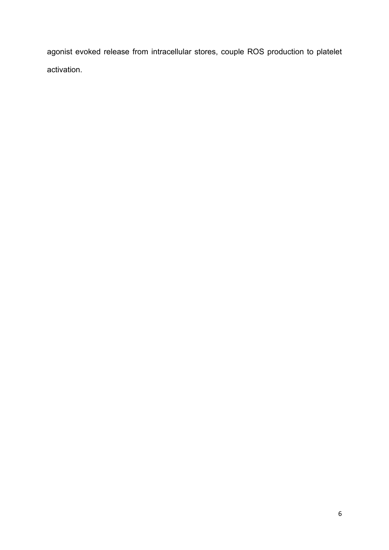agonist evoked release from intracellular stores, couple ROS production to platelet activation.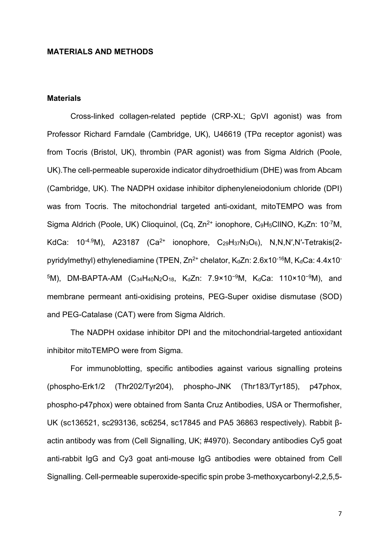#### **MATERIALS AND METHODS**

# **Materials**

Cross-linked collagen-related peptide (CRP-XL; GpVI agonist) was from Professor Richard Farndale (Cambridge, UK), U46619 (TPα receptor agonist) was from Tocris (Bristol, UK), thrombin (PAR agonist) was from Sigma Aldrich (Poole, UK).The cell-permeable superoxide indicator dihydroethidium (DHE) was from Abcam (Cambridge, UK). The NADPH oxidase inhibitor diphenyleneiodonium chloride (DPI) was from Tocris. The mitochondrial targeted anti-oxidant, mitoTEMPO was from Sigma Aldrich (Poole, UK) Clioquinol, (Cq, Zn<sup>2+</sup> ionophore, C<sub>9</sub>H<sub>5</sub>ClINO, K<sub>d</sub>Zn: 10<sup>-7</sup>M, KdCa:  $10^{-4.9}$ M), A23187 (Ca<sup>2+</sup> ionophore, C<sub>29</sub>H<sub>37</sub>N<sub>3</sub>O<sub>6</sub>), N,N,N',N'-Tetrakis(2pyridylmethyl) ethylenediamine (TPEN,  $Zn^{2+}$  chelator,  $K_dZn$ : 2.6x10<sup>-16</sup>M,  $K_dCa$ : 4.4x10<sup>-</sup> 5M), DM-BAPTA-AM (C<sub>34</sub>H<sub>40</sub>N<sub>2</sub>O<sub>18</sub>, K<sub>d</sub>Zn: 7.9×10<sup>-9</sup>M, K<sub>d</sub>Ca: 110×10<sup>-9</sup>M), and membrane permeant anti-oxidising proteins, PEG-Super oxidise dismutase (SOD) and PEG-Catalase (CAT) were from Sigma Aldrich.

The NADPH oxidase inhibitor DPI and the mitochondrial-targeted antioxidant inhibitor mitoTEMPO were from Sigma.

For immunoblotting, specific antibodies against various signalling proteins (phospho-Erk1/2 (Thr202/Tyr204), phospho-JNK (Thr183/Tyr185), p47phox, phospho-p47phox) were obtained from Santa Cruz Antibodies, USA or Thermofisher, UK (sc136521, sc293136, sc6254, sc17845 and PA5 36863 respectively). Rabbit βactin antibody was from (Cell Signalling, UK; #4970). Secondary antibodies Cy5 goat anti-rabbit IgG and Cy3 goat anti-mouse IgG antibodies were obtained from Cell Signalling. Cell-permeable superoxide-specific spin probe 3-methoxycarbonyl-2,2,5,5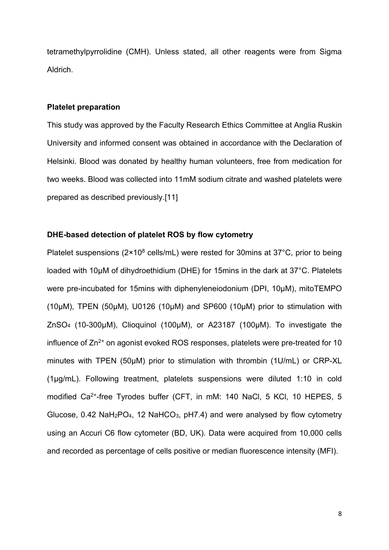tetramethylpyrrolidine (CMH). Unless stated, all other reagents were from Sigma Aldrich.

#### **Platelet preparation**

This study was approved by the Faculty Research Ethics Committee at Anglia Ruskin University and informed consent was obtained in accordance with the Declaration of Helsinki. Blood was donated by healthy human volunteers, free from medication for two weeks. Blood was collected into 11mM sodium citrate and washed platelets were prepared as described previously.[11]

### **DHE-based detection of platelet ROS by flow cytometry**

Platelet suspensions ( $2 \times 10^8$  cells/mL) were rested for 30mins at 37°C, prior to being loaded with 10μM of dihydroethidium (DHE) for 15mins in the dark at 37°C. Platelets were pre-incubated for 15mins with diphenyleneiodonium (DPI, 10µM), mitoTEMPO (10µM), TPEN (50µM), U0126 (10µM) and SP600 (10µM) prior to stimulation with ZnSO4 (10-300μM), Clioquinol (100μM), or A23187 (100μM). To investigate the influence of  $Zn^{2+}$  on agonist evoked ROS responses, platelets were pre-treated for 10 minutes with TPEN (50μM) prior to stimulation with thrombin (1U/mL) or CRP-XL (1μg/mL). Following treatment, platelets suspensions were diluted 1:10 in cold modified Ca<sup>2+</sup>-free Tyrodes buffer (CFT, in mM: 140 NaCl, 5 KCl, 10 HEPES, 5 Glucose,  $0.42 \text{ NaH}_2\text{PO}_4$ , 12 NaHCO<sub>3</sub>, pH7.4) and were analysed by flow cytometry using an Accuri C6 flow cytometer (BD, UK). Data were acquired from 10,000 cells and recorded as percentage of cells positive or median fluorescence intensity (MFI).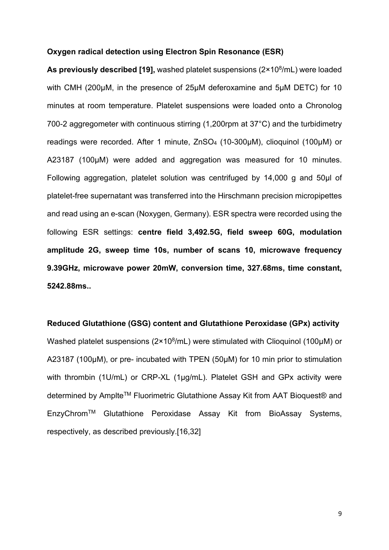#### **Oxygen radical detection using Electron Spin Resonance (ESR)**

**As previously described [19],** washed platelet suspensions (2×108/mL) were loaded with CMH (200μM, in the presence of 25µM deferoxamine and 5µM DETC) for 10 minutes at room temperature. Platelet suspensions were loaded onto a Chronolog 700-2 aggregometer with continuous stirring (1,200rpm at 37°C) and the turbidimetry readings were recorded. After 1 minute, ZnSO<sub>4</sub> (10-300µM), clioquinol (100µM) or A23187 (100µM) were added and aggregation was measured for 10 minutes. Following aggregation, platelet solution was centrifuged by 14,000 g and 50µl of platelet-free supernatant was transferred into the Hirschmann precision micropipettes and read using an e-scan (Noxygen, Germany). ESR spectra were recorded using the following ESR settings: **centre field 3,492.5G, field sweep 60G, modulation amplitude 2G, sweep time 10s, number of scans 10, microwave frequency 9.39GHz, microwave power 20mW, conversion time, 327.68ms, time constant, 5242.88ms..**

#### **Reduced Glutathione (GSG) content and Glutathione Peroxidase (GPx) activity**

Washed platelet suspensions (2×10<sup>8</sup>/mL) were stimulated with Clioquinol (100μM) or A23187 (100μM), or pre- incubated with TPEN (50μM) for 10 min prior to stimulation with thrombin (1U/mL) or CRP-XL (1µg/mL). Platelet GSH and GPx activity were determined by Amplte™ Fluorimetric Glutathione Assay Kit from AAT Bioquest® and EnzyChromTM Glutathione Peroxidase Assay Kit from BioAssay Systems, respectively, as described previously.[16,32]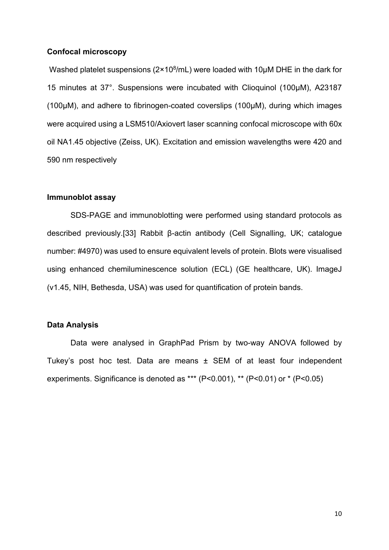#### **Confocal microscopy**

Washed platelet suspensions ( $2 \times 10^8$ /mL) were loaded with 10 $\mu$ M DHE in the dark for 15 minutes at 37°. Suspensions were incubated with Clioquinol (100μM), A23187 (100μM), and adhere to fibrinogen-coated coverslips (100µM), during which images were acquired using a LSM510/Axiovert laser scanning confocal microscope with 60x oil NA1.45 objective (Zeiss, UK). Excitation and emission wavelengths were 420 and 590 nm respectively

#### **Immunoblot assay**

SDS-PAGE and immunoblotting were performed using standard protocols as described previously.[33] Rabbit β-actin antibody (Cell Signalling, UK; catalogue number: #4970) was used to ensure equivalent levels of protein. Blots were visualised using enhanced chemiluminescence solution (ECL) (GE healthcare, UK). ImageJ (v1.45, NIH, Bethesda, USA) was used for quantification of protein bands.

#### **Data Analysis**

Data were analysed in GraphPad Prism by two-way ANOVA followed by Tukey's post hoc test. Data are means ± SEM of at least four independent experiments. Significance is denoted as \*\*\* (P<0.001), \*\* (P<0.01) or \* (P<0.05)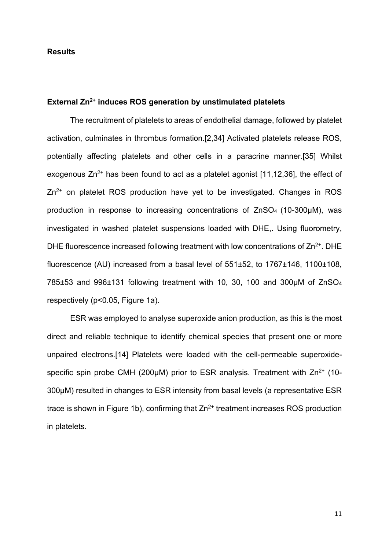#### **Results**

#### **External Zn2+ induces ROS generation by unstimulated platelets**

The recruitment of platelets to areas of endothelial damage, followed by platelet activation, culminates in thrombus formation.[2,34] Activated platelets release ROS, potentially affecting platelets and other cells in a paracrine manner.[35] Whilst exogenous  $\text{Zn}^{2+}$  has been found to act as a platelet agonist [11,12,36], the effect of  $Zn^{2+}$  on platelet ROS production have yet to be investigated. Changes in ROS production in response to increasing concentrations of ZnSO4 (10-300μM), was investigated in washed platelet suspensions loaded with DHE,. Using fluorometry, DHE fluorescence increased following treatment with low concentrations of  $Zn^{2+}$ . DHE fluorescence (AU) increased from a basal level of 551±52, to 1767±146, 1100±108, 785±53 and 996±131 following treatment with 10, 30, 100 and 300µM of ZnSO4 respectively (p<0.05, Figure 1a).

ESR was employed to analyse superoxide anion production, as this is the most direct and reliable technique to identify chemical species that present one or more unpaired electrons.[14] Platelets were loaded with the cell-permeable superoxidespecific spin probe CMH (200µM) prior to ESR analysis. Treatment with  $Zn^{2+}$  (10-300µM) resulted in changes to ESR intensity from basal levels (a representative ESR trace is shown in Figure 1b), confirming that  $Zn^{2+}$  treatment increases ROS production in platelets.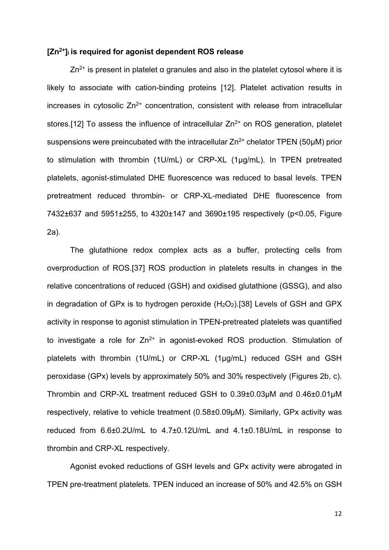#### **[Zn2+]i is required for agonist dependent ROS release**

 $Zn^{2+}$  is present in platelet α granules and also in the platelet cytosol where it is likely to associate with cation-binding proteins [12]. Platelet activation results in increases in cytosolic  $Zn^{2+}$  concentration, consistent with release from intracellular stores.[12] To assess the influence of intracellular  $Zn^{2+}$  on ROS generation, platelet suspensions were preincubated with the intracellular  $Zn^{2+}$  chelator TPEN (50 $\mu$ M) prior to stimulation with thrombin (1U/mL) or CRP-XL (1μg/mL). In TPEN pretreated platelets, agonist-stimulated DHE fluorescence was reduced to basal levels. TPEN pretreatment reduced thrombin- or CRP-XL-mediated DHE fluorescence from 7432±637 and 5951±255, to 4320±147 and 3690±195 respectively (p<0.05, Figure 2a).

The glutathione redox complex acts as a buffer, protecting cells from overproduction of ROS.[37] ROS production in platelets results in changes in the relative concentrations of reduced (GSH) and oxidised glutathione (GSSG), and also in degradation of GPx is to hydrogen peroxide  $(H<sub>2</sub>O<sub>2</sub>)$ .[38] Levels of GSH and GPX activity in response to agonist stimulation in TPEN-pretreated platelets was quantified to investigate a role for  $Zn^{2+}$  in agonist-evoked ROS production. Stimulation of platelets with thrombin (1U/mL) or CRP-XL (1μg/mL) reduced GSH and GSH peroxidase (GPx) levels by approximately 50% and 30% respectively (Figures 2b, c). Thrombin and CRP-XL treatment reduced GSH to 0.39±0.03µM and 0.46±0.01µM respectively, relative to vehicle treatment (0.58±0.09µM). Similarly, GPx activity was reduced from 6.6±0.2U/mL to 4.7±0.12U/mL and 4.1±0.18U/mL in response to thrombin and CRP-XL respectively.

Agonist evoked reductions of GSH levels and GPx activity were abrogated in TPEN pre-treatment platelets. TPEN induced an increase of 50% and 42.5% on GSH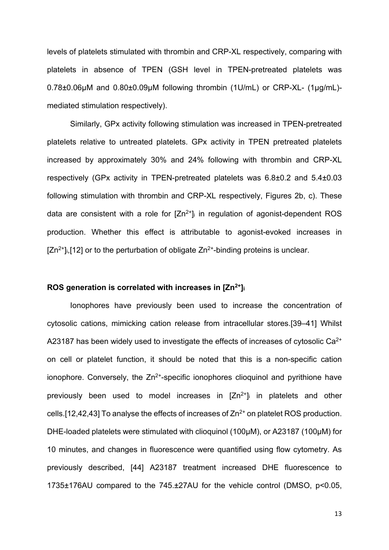levels of platelets stimulated with thrombin and CRP-XL respectively, comparing with platelets in absence of TPEN (GSH level in TPEN-pretreated platelets was 0.78±0.06µM and 0.80±0.09µM following thrombin (1U/mL) or CRP-XL- (1µg/mL) mediated stimulation respectively).

Similarly, GPx activity following stimulation was increased in TPEN-pretreated platelets relative to untreated platelets. GPx activity in TPEN pretreated platelets increased by approximately 30% and 24% following with thrombin and CRP-XL respectively (GPx activity in TPEN-pretreated platelets was 6.8±0.2 and 5.4±0.03 following stimulation with thrombin and CRP-XL respectively, Figures 2b, c). These data are consistent with a role for  $[Zn^{2+}]$  in regulation of agonist-dependent ROS production. Whether this effect is attributable to agonist-evoked increases in  $[Zn^{2+}$ <sub>li</sub>,[12] or to the perturbation of obligate  $Zn^{2+}$ -binding proteins is unclear.

## **ROS generation is correlated with increases in [Zn2+]i**

Ionophores have previously been used to increase the concentration of cytosolic cations, mimicking cation release from intracellular stores.[39–41] Whilst A23187 has been widely used to investigate the effects of increases of cytosolic  $Ca<sup>2+</sup>$ on cell or platelet function, it should be noted that this is a non-specific cation ionophore. Conversely, the  $Zn^{2+}$ -specific ionophores clioquinol and pyrithione have previously been used to model increases in  $[Zn^{2+}]$  in platelets and other cells. [12,42,43] To analyse the effects of increases of  $Zn^{2+}$  on platelet ROS production. DHE-loaded platelets were stimulated with clioquinol (100µM), or A23187 (100µM) for 10 minutes, and changes in fluorescence were quantified using flow cytometry. As previously described, [44] A23187 treatment increased DHE fluorescence to 1735±176AU compared to the 745.±27AU for the vehicle control (DMSO, p<0.05,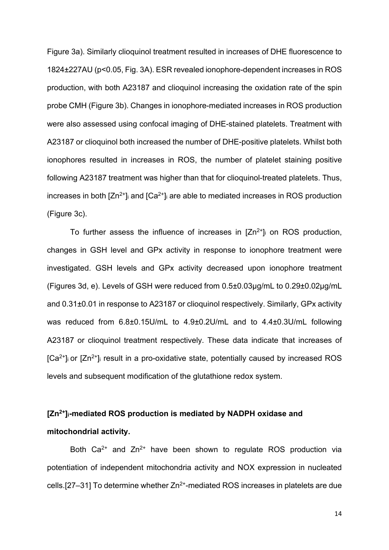Figure 3a). Similarly clioquinol treatment resulted in increases of DHE fluorescence to 1824±227AU (p<0.05, Fig. 3A). ESR revealed ionophore-dependent increases in ROS production, with both A23187 and clioquinol increasing the oxidation rate of the spin probe CMH (Figure 3b). Changes in ionophore-mediated increases in ROS production were also assessed using confocal imaging of DHE-stained platelets. Treatment with A23187 or clioquinol both increased the number of DHE-positive platelets. Whilst both ionophores resulted in increases in ROS, the number of platelet staining positive following A23187 treatment was higher than that for clioquinol-treated platelets. Thus, increases in both  $[Zn^{2+}]$  and  $[Ca^{2+}]$  are able to mediated increases in ROS production (Figure 3c).

To further assess the influence of increases in  $[Zn^{2+}]_i$  on ROS production, changes in GSH level and GPx activity in response to ionophore treatment were investigated. GSH levels and GPx activity decreased upon ionophore treatment (Figures 3d, e). Levels of GSH were reduced from 0.5±0.03µg/mL to 0.29±0.02µg/mL and 0.31±0.01 in response to A23187 or clioquinol respectively. Similarly, GPx activity was reduced from 6.8±0.15U/mL to 4.9±0.2U/mL and to 4.4±0.3U/mL following A23187 or clioquinol treatment respectively. These data indicate that increases of  $[Ca<sup>2+</sup>]$  or  $[Zn<sup>2+</sup>]$  result in a pro-oxidative state, potentially caused by increased ROS levels and subsequent modification of the glutathione redox system.

# **[Zn2+]i-mediated ROS production is mediated by NADPH oxidase and mitochondrial activity.**

Both  $Ca^{2+}$  and  $Zn^{2+}$  have been shown to regulate ROS production via potentiation of independent mitochondria activity and NOX expression in nucleated cells. [27–31] To determine whether  $Zn^{2+}$ -mediated ROS increases in platelets are due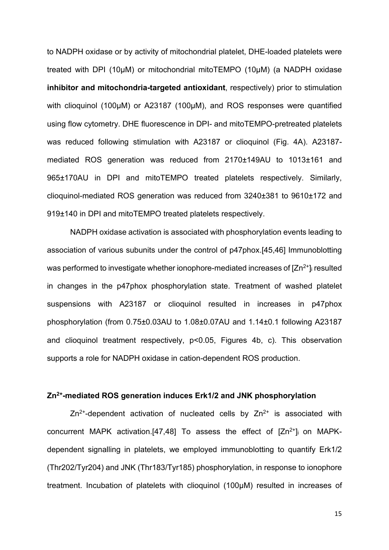to NADPH oxidase or by activity of mitochondrial platelet, DHE-loaded platelets were treated with DPI (10µM) or mitochondrial mitoTEMPO (10µM) (a NADPH oxidase **inhibitor and mitochondria-targeted antioxidant**, respectively) prior to stimulation with clioquinol (100µM) or A23187 (100µM), and ROS responses were quantified using flow cytometry. DHE fluorescence in DPI- and mitoTEMPO-pretreated platelets was reduced following stimulation with A23187 or clioquinol (Fig. 4A). A23187 mediated ROS generation was reduced from 2170±149AU to 1013±161 and 965±170AU in DPI and mitoTEMPO treated platelets respectively. Similarly, clioquinol-mediated ROS generation was reduced from 3240±381 to 9610±172 and 919±140 in DPI and mitoTEMPO treated platelets respectively.

NADPH oxidase activation is associated with phosphorylation events leading to association of various subunits under the control of p47phox.[45,46] Immunoblotting was performed to investigate whether ionophore-mediated increases of  $[Zn^{2+}]$  resulted in changes in the p47phox phosphorylation state. Treatment of washed platelet suspensions with A23187 or clioquinol resulted in increases in p47phox phosphorylation (from 0.75±0.03AU to 1.08±0.07AU and 1.14±0.1 following A23187 and clioquinol treatment respectively, p<0.05, Figures 4b, c). This observation supports a role for NADPH oxidase in cation-dependent ROS production.

#### **Zn2+-mediated ROS generation induces Erk1/2 and JNK phosphorylation**

 $Zn^{2+}$ -dependent activation of nucleated cells by  $Zn^{2+}$  is associated with concurrent MAPK activation.[47,48] To assess the effect of  $[Zn^{2+}]$  on MAPKdependent signalling in platelets, we employed immunoblotting to quantify Erk1/2 (Thr202/Tyr204) and JNK (Thr183/Tyr185) phosphorylation, in response to ionophore treatment. Incubation of platelets with clioquinol (100µM) resulted in increases of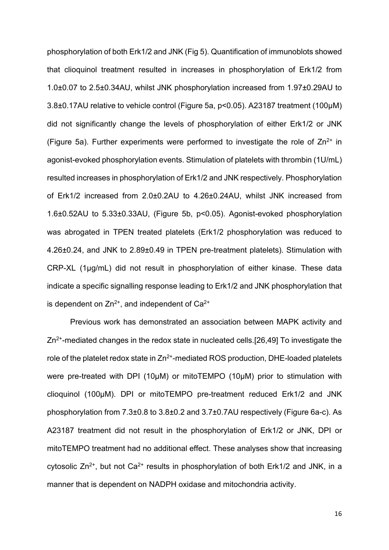phosphorylation of both Erk1/2 and JNK (Fig 5). Quantification of immunoblots showed that clioquinol treatment resulted in increases in phosphorylation of Erk1/2 from 1.0±0.07 to 2.5±0.34AU, whilst JNK phosphorylation increased from 1.97±0.29AU to 3.8±0.17AU relative to vehicle control (Figure 5a, p<0.05). A23187 treatment (100µM) did not significantly change the levels of phosphorylation of either Erk1/2 or JNK (Figure 5a). Further experiments were performed to investigate the role of  $Zn^{2+}$  in agonist-evoked phosphorylation events. Stimulation of platelets with thrombin (1U/mL) resulted increases in phosphorylation of Erk1/2 and JNK respectively. Phosphorylation of Erk1/2 increased from 2.0±0.2AU to 4.26±0.24AU, whilst JNK increased from 1.6±0.52AU to 5.33±0.33AU, (Figure 5b, p<0.05). Agonist-evoked phosphorylation was abrogated in TPEN treated platelets (Erk1/2 phosphorylation was reduced to 4.26±0.24, and JNK to 2.89±0.49 in TPEN pre-treatment platelets). Stimulation with CRP-XL (1μg/mL) did not result in phosphorylation of either kinase. These data indicate a specific signalling response leading to Erk1/2 and JNK phosphorylation that is dependent on  $Zn^{2+}$ , and independent of  $Ca^{2+}$ 

Previous work has demonstrated an association between MAPK activity and  $Zn^{2+}$ -mediated changes in the redox state in nucleated cells.[26,49] To investigate the role of the platelet redox state in  $Zn^{2+}$ -mediated ROS production, DHE-loaded platelets were pre-treated with DPI (10µM) or mitoTEMPO (10µM) prior to stimulation with clioquinol (100µM). DPI or mitoTEMPO pre-treatment reduced Erk1/2 and JNK phosphorylation from 7.3±0.8 to 3.8±0.2 and 3.7±0.7AU respectively (Figure 6a-c). As A23187 treatment did not result in the phosphorylation of Erk1/2 or JNK, DPI or mitoTEMPO treatment had no additional effect. These analyses show that increasing cytosolic  $Zn^{2+}$ , but not  $Ca^{2+}$  results in phosphorylation of both Erk1/2 and JNK, in a manner that is dependent on NADPH oxidase and mitochondria activity.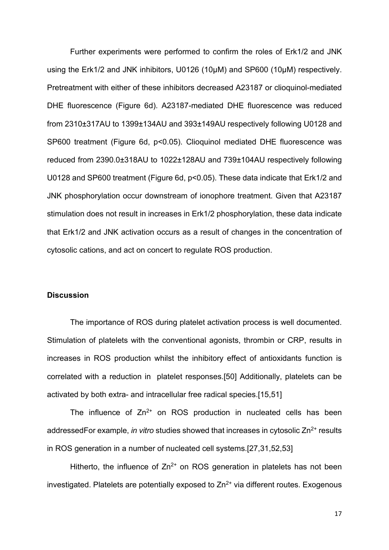Further experiments were performed to confirm the roles of Erk1/2 and JNK using the Erk1/2 and JNK inhibitors, U0126 (10µM) and SP600 (10µM) respectively. Pretreatment with either of these inhibitors decreased A23187 or clioquinol-mediated DHE fluorescence (Figure 6d). A23187-mediated DHE fluorescence was reduced from 2310±317AU to 1399±134AU and 393±149AU respectively following U0128 and SP600 treatment (Figure 6d, p<0.05). Clioquinol mediated DHE fluorescence was reduced from 2390.0±318AU to 1022±128AU and 739±104AU respectively following U0128 and SP600 treatment (Figure 6d, p<0.05). These data indicate that Erk1/2 and JNK phosphorylation occur downstream of ionophore treatment. Given that A23187 stimulation does not result in increases in Erk1/2 phosphorylation, these data indicate that Erk1/2 and JNK activation occurs as a result of changes in the concentration of cytosolic cations, and act on concert to regulate ROS production.

#### **Discussion**

The importance of ROS during platelet activation process is well documented. Stimulation of platelets with the conventional agonists, thrombin or CRP, results in increases in ROS production whilst the inhibitory effect of antioxidants function is correlated with a reduction in platelet responses.[50] Additionally, platelets can be activated by both extra- and intracellular free radical species.[15,51]

The influence of  $Zn^{2+}$  on ROS production in nucleated cells has been addressedFor example, *in vitro* studies showed that increases in cytosolic Zn<sup>2+</sup> results in ROS generation in a number of nucleated cell systems.[27,31,52,53]

Hitherto, the influence of  $Zn^{2+}$  on ROS generation in platelets has not been investigated. Platelets are potentially exposed to  $Zn^{2+}$  via different routes. Exogenous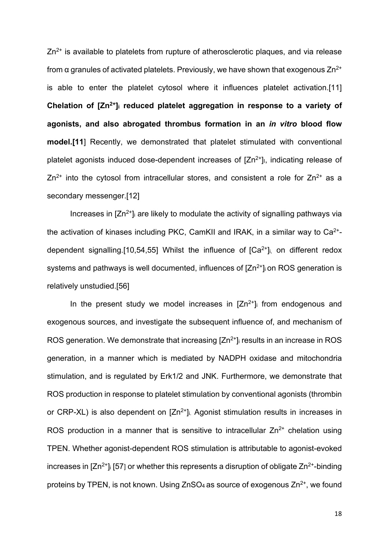$Zn^{2+}$  is available to platelets from rupture of atherosclerotic plaques, and via release from α granules of activated platelets. Previously, we have shown that exogenous  $Zn^{2+}$ is able to enter the platelet cytosol where it influences platelet activation.[11] **Chelation of [Zn2+]i reduced platelet aggregation in response to a variety of agonists, and also abrogated thrombus formation in an** *in vitro* **blood flow model.[11**] Recently, we demonstrated that platelet stimulated with conventional platelet agonists induced dose-dependent increases of  $[Zn^{2+}]$ , indicating release of  $Zn^{2+}$  into the cytosol from intracellular stores, and consistent a role for  $Zn^{2+}$  as a secondary messenger.[12]

Increases in  $[Zn^{2+}]$  are likely to modulate the activity of signalling pathways via the activation of kinases including PKC, CamKII and IRAK, in a similar way to  $Ca<sup>2+</sup>$ dependent signalling.[10,54,55] Whilst the influence of  $[Ca<sup>2+</sup>]$ <sub>i,</sub> on different redox systems and pathways is well documented, influences of  $[Zn^{2+}]$  on ROS generation is relatively unstudied.[56]

In the present study we model increases in  $[Zn^{2+}]$  from endogenous and exogenous sources, and investigate the subsequent influence of, and mechanism of ROS generation. We demonstrate that increasing  $[Zn^{2+}]$  results in an increase in ROS generation, in a manner which is mediated by NADPH oxidase and mitochondria stimulation, and is regulated by Erk1/2 and JNK. Furthermore, we demonstrate that ROS production in response to platelet stimulation by conventional agonists (thrombin or CRP-XL) is also dependent on  $[Zn^{2+}]$  Agonist stimulation results in increases in ROS production in a manner that is sensitive to intracellular  $Zn^{2+}$  chelation using TPEN. Whether agonist-dependent ROS stimulation is attributable to agonist-evoked increases in  $[Zn^{2+}]$  [57] or whether this represents a disruption of obligate  $Zn^{2+}$ -binding proteins by TPEN, is not known. Using  $ZnSO_4$  as source of exogenous  $Zn^{2+}$ , we found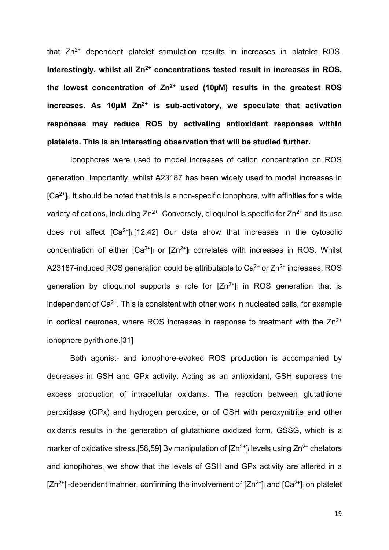that  $Zn^{2+}$  dependent platelet stimulation results in increases in platelet ROS. Interestingly, whilst all  $\text{Zn}^{2+}$  concentrations tested result in increases in ROS, **the lowest concentration of Zn2+ used (10µM) results in the greatest ROS increases. As 10µM Zn2+ is sub-activatory, we speculate that activation responses may reduce ROS by activating antioxidant responses within platelets. This is an interesting observation that will be studied further.**

Ionophores were used to model increases of cation concentration on ROS generation. Importantly, whilst A23187 has been widely used to model increases in  $[Ca<sup>2+</sup>]$ i, it should be noted that this is a non-specific ionophore, with affinities for a wide variety of cations, including  $Zn^{2+}$ . Conversely, clioquinol is specific for  $Zn^{2+}$  and its use does not affect  $[Ca^{2+}]\_1[12,42]$  Our data show that increases in the cytosolic concentration of either  $[Ca^{2+}]}$  or  $[Zn^{2+}]}$  correlates with increases in ROS. Whilst A23187-induced ROS generation could be attributable to  $Ca<sup>2+</sup>$  or  $Zn<sup>2+</sup>$  increases, ROS generation by clioquinol supports a role for  $[Zn^{2+}]$  in ROS generation that is independent of  $Ca<sup>2+</sup>$ . This is consistent with other work in nucleated cells, for example in cortical neurones, where ROS increases in response to treatment with the  $Zn^{2+}$ ionophore pyrithione.[31]

Both agonist- and ionophore-evoked ROS production is accompanied by decreases in GSH and GPx activity. Acting as an antioxidant, GSH suppress the excess production of intracellular oxidants. The reaction between glutathione peroxidase (GPx) and hydrogen peroxide, or of GSH with peroxynitrite and other oxidants results in the generation of glutathione oxidized form, GSSG, which is a marker of oxidative stress. [58,59] By manipulation of  $[Zn^{2+}]$  levels using  $Zn^{2+}$  chelators and ionophores, we show that the levels of GSH and GPx activity are altered in a  $[Zn^{2+}]_i$ -dependent manner, confirming the involvement of  $[Zn^{2+}]_i$  and  $[Ca^{2+}]_i$  on platelet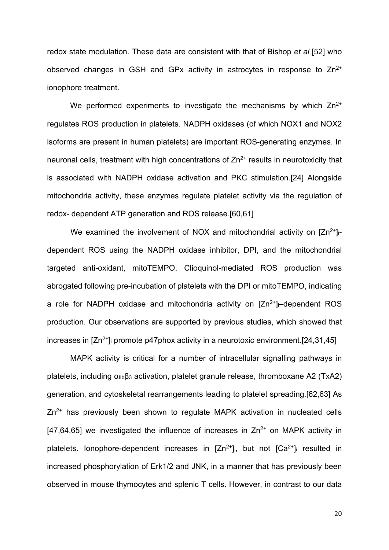redox state modulation. These data are consistent with that of Bishop *et al* [52] who observed changes in GSH and GPx activity in astrocytes in response to  $Zn^{2+}$ ionophore treatment.

We performed experiments to investigate the mechanisms by which  $Zn^{2+}$ regulates ROS production in platelets. NADPH oxidases (of which NOX1 and NOX2 isoforms are present in human platelets) are important ROS-generating enzymes. In neuronal cells, treatment with high concentrations of  $Zn^{2+}$  results in neurotoxicity that is associated with NADPH oxidase activation and PKC stimulation.[24] Alongside mitochondria activity, these enzymes regulate platelet activity via the regulation of redox- dependent ATP generation and ROS release.[60,61]

We examined the involvement of NOX and mitochondrial activity on  $[Zn^{2+}]_{i}$ dependent ROS using the NADPH oxidase inhibitor, DPI, and the mitochondrial targeted anti-oxidant, mitoTEMPO. Clioquinol-mediated ROS production was abrogated following pre-incubation of platelets with the DPI or mitoTEMPO, indicating a role for NADPH oxidase and mitochondria activity on  $[Zn^{2+}]_i$ -dependent ROS production. Our observations are supported by previous studies, which showed that increases in  $[Zn^{2+}]$  promote p47phox activity in a neurotoxic environment. [24,31,45]

MAPK activity is critical for a number of intracellular signalling pathways in platelets, including  $\alpha_{\text{IIb}}\beta_3$  activation, platelet granule release, thromboxane A2 (TxA2) generation, and cytoskeletal rearrangements leading to platelet spreading.[62,63] As  $Zn^{2+}$  has previously been shown to regulate MAPK activation in nucleated cells [47,64,65] we investigated the influence of increases in  $\text{Zn}^{2+}$  on MAPK activity in platelets. Ionophore-dependent increases in  $[Zn^{2+}]$ i, but not  $[Ca^{2+}]$ i resulted in increased phosphorylation of Erk1/2 and JNK, in a manner that has previously been observed in mouse thymocytes and splenic T cells. However, in contrast to our data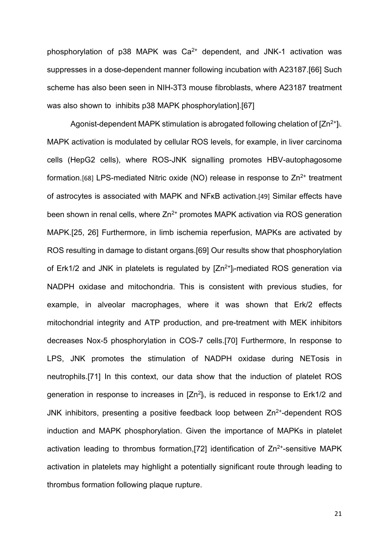phosphorylation of  $p38$  MAPK was  $Ca<sup>2+</sup>$  dependent, and JNK-1 activation was suppresses in a dose-dependent manner following incubation with A23187.[66] Such scheme has also been seen in NIH-3T3 mouse fibroblasts, where A23187 treatment was also shown to inhibits p38 MAPK phosphorylation].[67]

Agonist-dependent MAPK stimulation is abrogated following chelation of  $[Zn^{2+}]$ i. MAPK activation is modulated by cellular ROS levels, for example, in liver carcinoma cells (HepG2 cells), where ROS-JNK signalling promotes HBV-autophagosome formation.<sup>[68]</sup> LPS-mediated Nitric oxide (NO) release in response to  $Zn^{2+}$  treatment of astrocytes is associated with MAPK and NFκB activation.[49] Similar effects have been shown in renal cells, where  $Zn^{2+}$  promotes MAPK activation via ROS generation MAPK.[25, 26] Furthermore, in limb ischemia reperfusion, MAPKs are activated by ROS resulting in damage to distant organs.[69] Our results show that phosphorylation of Erk1/2 and JNK in platelets is regulated by  $[Zn^{2+}]_i$ -mediated ROS generation via NADPH oxidase and mitochondria. This is consistent with previous studies, for example, in alveolar macrophages, where it was shown that Erk/2 effects mitochondrial integrity and ATP production, and pre-treatment with MEK inhibitors decreases Nox-5 phosphorylation in COS-7 cells.[70] Furthermore, In response to LPS, JNK promotes the stimulation of NADPH oxidase during NETosis in neutrophils.[71] In this context, our data show that the induction of platelet ROS generation in response to increases in  $[Zn^2]$ i, is reduced in response to Erk1/2 and JNK inhibitors, presenting a positive feedback loop between  $Zn^{2+}$ -dependent ROS induction and MAPK phosphorylation. Given the importance of MAPKs in platelet activation leading to thrombus formation, [72] identification of  $Zn^{2+}$ -sensitive MAPK activation in platelets may highlight a potentially significant route through leading to thrombus formation following plaque rupture.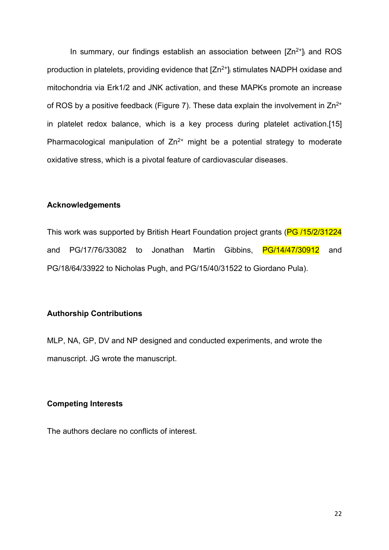In summary, our findings establish an association between  $[Zn^{2+}]$  and ROS production in platelets, providing evidence that  $[Zn^{2+}]$  stimulates NADPH oxidase and mitochondria via Erk1/2 and JNK activation, and these MAPKs promote an increase of ROS by a positive feedback (Figure 7). These data explain the involvement in  $Zn^{2+}$ in platelet redox balance, which is a key process during platelet activation.[15] Pharmacological manipulation of  $Zn^{2+}$  might be a potential strategy to moderate oxidative stress, which is a pivotal feature of cardiovascular diseases.

#### **Acknowledgements**

This work was supported by British Heart Foundation project grants (PG /15/2/31224 and PG/17/76/33082 to Jonathan Martin Gibbins, PG/14/47/30912 and PG/18/64/33922 to Nicholas Pugh, and PG/15/40/31522 to Giordano Pula).

#### **Authorship Contributions**

MLP, NA, GP, DV and NP designed and conducted experiments, and wrote the manuscript. JG wrote the manuscript.

## **Competing Interests**

The authors declare no conflicts of interest.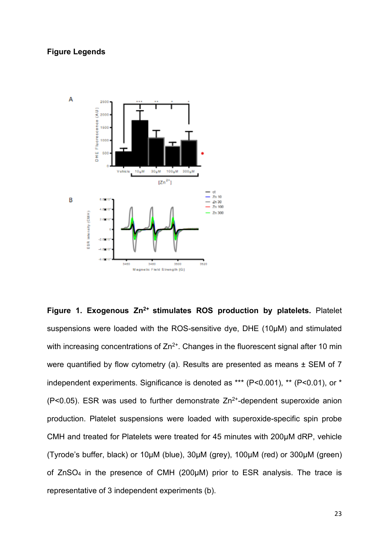# **Figure Legends**



**Figure 1. Exogenous Zn<sup>2+</sup> stimulates ROS production by platelets. Platelet** suspensions were loaded with the ROS-sensitive dye, DHE (10µM) and stimulated with increasing concentrations of  $Zn^{2+}$ . Changes in the fluorescent signal after 10 min were quantified by flow cytometry (a). Results are presented as means  $\pm$  SEM of 7 independent experiments. Significance is denoted as \*\*\* (P<0.001), \*\* (P<0.01), or \*  $(P<0.05)$ . ESR was used to further demonstrate  $Zn^{2+}$ -dependent superoxide anion production. Platelet suspensions were loaded with superoxide-specific spin probe CMH and treated for Platelets were treated for 45 minutes with 200μM dRP, vehicle (Tyrode's buffer, black) or 10µM (blue), 30µM (grey), 100µM (red) or 300µM (green) of ZnSO4 in the presence of CMH (200μM) prior to ESR analysis. The trace is representative of 3 independent experiments (b).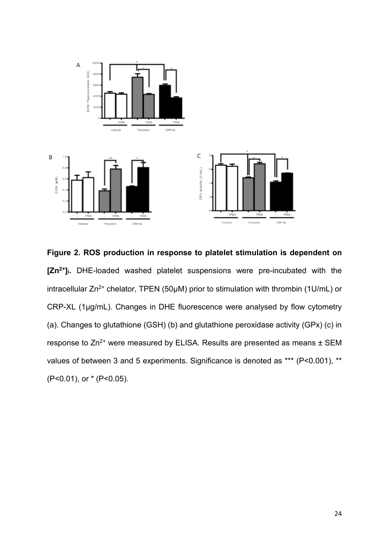

**Figure 2. ROS production in response to platelet stimulation is dependent on [Zn2+]i.** DHE-loaded washed platelet suspensions were pre-incubated with the intracellular  $Zn^{2+}$  chelator, TPEN (50µM) prior to stimulation with thrombin (1U/mL) or CRP-XL (1μg/mL). Changes in DHE fluorescence were analysed by flow cytometry (a). Changes to glutathione (GSH) (b) and glutathione peroxidase activity (GPx) (c) in response to Zn<sup>2+</sup> were measured by ELISA. Results are presented as means ± SEM values of between 3 and 5 experiments. Significance is denoted as \*\*\* (P<0.001), \*\* (P<0.01), or \* (P<0.05).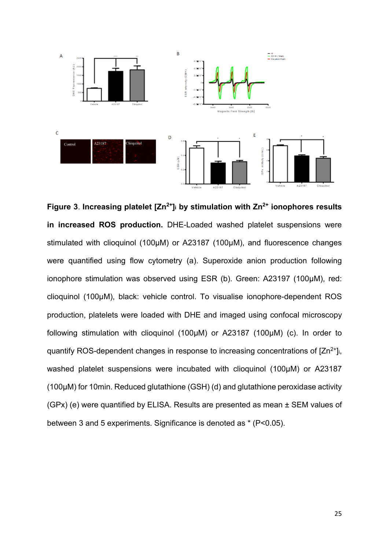

**Figure 3**. **Increasing platelet [Zn2+]i by stimulation with Zn2+ ionophores results in increased ROS production.** DHE-Loaded washed platelet suspensions were stimulated with clioquinol (100µM) or A23187 (100µM), and fluorescence changes were quantified using flow cytometry (a). Superoxide anion production following ionophore stimulation was observed using ESR (b). Green: A23197 (100µM), red: clioquinol (100µM), black: vehicle control. To visualise ionophore-dependent ROS production, platelets were loaded with DHE and imaged using confocal microscopy following stimulation with clioquinol (100µM) or A23187 (100µM) (c). In order to quantify ROS-dependent changes in response to increasing concentrations of  $[Zn^{2+}]$ i, washed platelet suspensions were incubated with clioquinol (100µM) or A23187 (100µM) for 10min. Reduced glutathione (GSH) (d) and glutathione peroxidase activity (GPx) (e) were quantified by ELISA. Results are presented as mean ± SEM values of between 3 and 5 experiments. Significance is denoted as \* (P<0.05).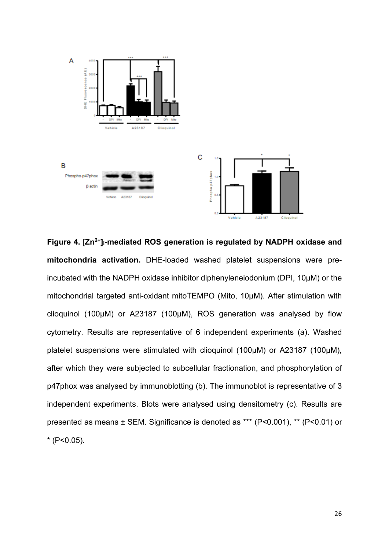

**Figure 4.** [**Zn2+]i-mediated ROS generation is regulated by NADPH oxidase and mitochondria activation.** DHE-loaded washed platelet suspensions were preincubated with the NADPH oxidase inhibitor diphenyleneiodonium (DPI, 10µM) or the mitochondrial targeted anti-oxidant mitoTEMPO (Mito, 10µM). After stimulation with clioquinol (100µM) or A23187 (100µM), ROS generation was analysed by flow cytometry. Results are representative of 6 independent experiments (a). Washed platelet suspensions were stimulated with clioquinol (100µM) or A23187 (100µM), after which they were subjected to subcellular fractionation, and phosphorylation of p47phox was analysed by immunoblotting (b). The immunoblot is representative of 3 independent experiments. Blots were analysed using densitometry (c). Results are presented as means ± SEM. Significance is denoted as \*\*\* (P<0.001), \*\* (P<0.01) or  $*$  (P<0.05).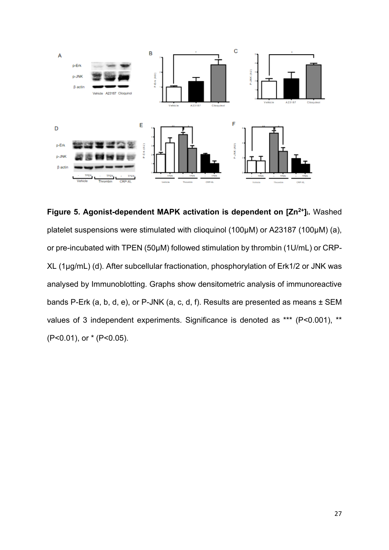

**Figure 5. Agonist-dependent MAPK activation is dependent on [Zn<sup>2+</sup>]<sub>i</sub>. Washed** platelet suspensions were stimulated with clioquinol (100µM) or A23187 (100µM) (a), or pre-incubated with TPEN (50μM) followed stimulation by thrombin (1U/mL) or CRP-XL (1μg/mL) (d). After subcellular fractionation, phosphorylation of Erk1/2 or JNK was analysed by Immunoblotting. Graphs show densitometric analysis of immunoreactive bands P-Erk (a, b, d, e), or P-JNK (a, c, d, f). Results are presented as means ± SEM values of 3 independent experiments. Significance is denoted as \*\*\* (P<0.001), \*\* (P<0.01), or \* (P<0.05).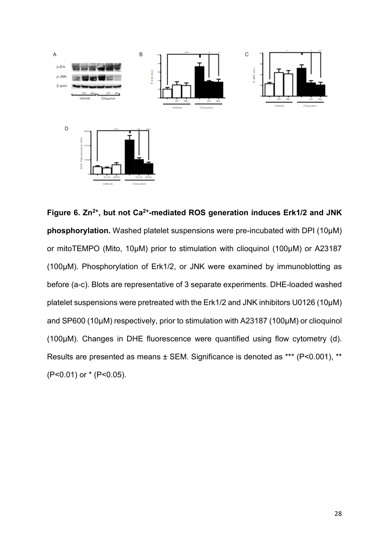

**Figure 6. Zn2+, but not Ca2+-mediated ROS generation induces Erk1/2 and JNK phosphorylation.** Washed platelet suspensions were pre-incubated with DPI (10µM) or mitoTEMPO (Mito, 10µM) prior to stimulation with clioquinol (100µM) or A23187 (100µM). Phosphorylation of Erk1/2, or JNK were examined by immunoblotting as before (a-c). Blots are representative of 3 separate experiments. DHE-loaded washed platelet suspensions were pretreated with the Erk1/2 and JNK inhibitors U0126 (10µM) and SP600 (10µM) respectively, prior to stimulation with A23187 (100µM) or clioquinol (100µM). Changes in DHE fluorescence were quantified using flow cytometry (d). Results are presented as means ± SEM. Significance is denoted as \*\*\* (P<0.001), \*\* (P<0.01) or \* (P<0.05).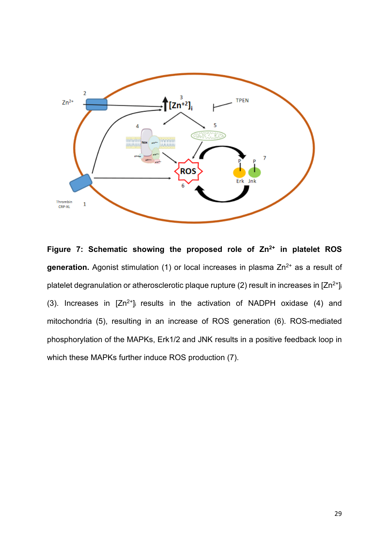

**Figure 7: Schematic showing the proposed role of Zn2+ in platelet ROS**  generation. Agonist stimulation (1) or local increases in plasma Zn<sup>2+</sup> as a result of platelet degranulation or atherosclerotic plaque rupture (2) result in increases in  $[Zn^{2+}]$ (3). Increases in  $[Zn^{2+}]$  results in the activation of NADPH oxidase (4) and mitochondria (5), resulting in an increase of ROS generation (6). ROS-mediated phosphorylation of the MAPKs, Erk1/2 and JNK results in a positive feedback loop in which these MAPKs further induce ROS production (7).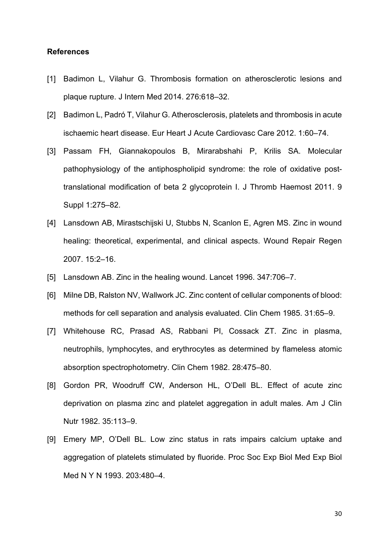#### **References**

- [1] Badimon L, Vilahur G. Thrombosis formation on atherosclerotic lesions and plaque rupture. J Intern Med 2014. 276:618–32.
- [2] Badimon L, Padró T, Vilahur G. Atherosclerosis, platelets and thrombosis in acute ischaemic heart disease. Eur Heart J Acute Cardiovasc Care 2012. 1:60–74.
- [3] Passam FH, Giannakopoulos B, Mirarabshahi P, Krilis SA. Molecular pathophysiology of the antiphospholipid syndrome: the role of oxidative posttranslational modification of beta 2 glycoprotein I. J Thromb Haemost 2011. 9 Suppl 1:275–82.
- [4] Lansdown AB, Mirastschijski U, Stubbs N, Scanlon E, Agren MS. Zinc in wound healing: theoretical, experimental, and clinical aspects. Wound Repair Regen 2007. 15:2–16.
- [5] Lansdown AB. Zinc in the healing wound. Lancet 1996. 347:706-7.
- [6] Milne DB, Ralston NV, Wallwork JC. Zinc content of cellular components of blood: methods for cell separation and analysis evaluated. Clin Chem 1985. 31:65–9.
- [7] Whitehouse RC, Prasad AS, Rabbani PI, Cossack ZT. Zinc in plasma, neutrophils, lymphocytes, and erythrocytes as determined by flameless atomic absorption spectrophotometry. Clin Chem 1982. 28:475–80.
- [8] Gordon PR, Woodruff CW, Anderson HL, O'Dell BL. Effect of acute zinc deprivation on plasma zinc and platelet aggregation in adult males. Am J Clin Nutr 1982. 35:113–9.
- [9] Emery MP, O'Dell BL. Low zinc status in rats impairs calcium uptake and aggregation of platelets stimulated by fluoride. Proc Soc Exp Biol Med Exp Biol Med N Y N 1993. 203:480–4.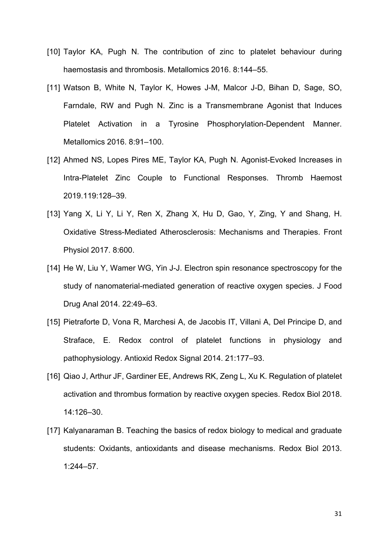- [10] Taylor KA, Pugh N. The contribution of zinc to platelet behaviour during haemostasis and thrombosis. Metallomics 2016. 8:144–55.
- [11] Watson B, White N, Taylor K, Howes J-M, Malcor J-D, Bihan D, Sage, SO, Farndale, RW and Pugh N. Zinc is a Transmembrane Agonist that Induces Platelet Activation in a Tyrosine Phosphorylation-Dependent Manner. Metallomics 2016. 8:91–100.
- [12] Ahmed NS, Lopes Pires ME, Taylor KA, Pugh N. Agonist-Evoked Increases in Intra-Platelet Zinc Couple to Functional Responses. Thromb Haemost 2019.119:128–39.
- [13] Yang X, Li Y, Li Y, Ren X, Zhang X, Hu D, Gao, Y, Zing, Y and Shang, H. Oxidative Stress-Mediated Atherosclerosis: Mechanisms and Therapies. Front Physiol 2017. 8:600.
- [14] He W, Liu Y, Wamer WG, Yin J-J. Electron spin resonance spectroscopy for the study of nanomaterial-mediated generation of reactive oxygen species. J Food Drug Anal 2014. 22:49–63.
- [15] Pietraforte D, Vona R, Marchesi A, de Jacobis IT, Villani A, Del Principe D, and Straface, E. Redox control of platelet functions in physiology and pathophysiology. Antioxid Redox Signal 2014. 21:177–93.
- [16] Qiao J, Arthur JF, Gardiner EE, Andrews RK, Zeng L, Xu K. Regulation of platelet activation and thrombus formation by reactive oxygen species. Redox Biol 2018. 14:126–30.
- [17] Kalyanaraman B. Teaching the basics of redox biology to medical and graduate students: Oxidants, antioxidants and disease mechanisms. Redox Biol 2013. 1:244–57.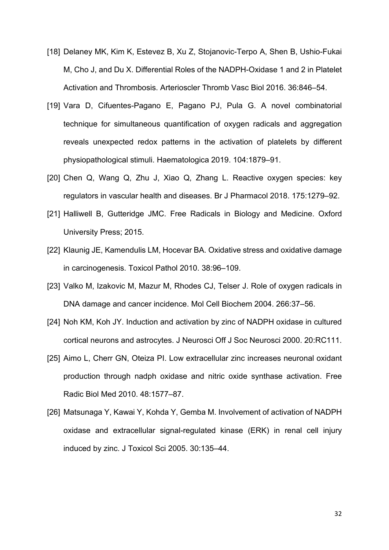- [18] Delaney MK, Kim K, Estevez B, Xu Z, Stojanovic-Terpo A, Shen B, Ushio-Fukai M, Cho J, and Du X. Differential Roles of the NADPH-Oxidase 1 and 2 in Platelet Activation and Thrombosis. Arterioscler Thromb Vasc Biol 2016. 36:846–54.
- [19] Vara D, Cifuentes-Pagano E, Pagano PJ, Pula G. A novel combinatorial technique for simultaneous quantification of oxygen radicals and aggregation reveals unexpected redox patterns in the activation of platelets by different physiopathological stimuli. Haematologica 2019. 104:1879–91.
- [20] Chen Q, Wang Q, Zhu J, Xiao Q, Zhang L. Reactive oxygen species: key regulators in vascular health and diseases. Br J Pharmacol 2018. 175:1279–92.
- [21] Halliwell B, Gutteridge JMC. Free Radicals in Biology and Medicine. Oxford University Press; 2015.
- [22] Klaunig JE, Kamendulis LM, Hocevar BA. Oxidative stress and oxidative damage in carcinogenesis. Toxicol Pathol 2010. 38:96–109.
- [23] Valko M, Izakovic M, Mazur M, Rhodes CJ, Telser J. Role of oxygen radicals in DNA damage and cancer incidence. Mol Cell Biochem 2004. 266:37–56.
- [24] Noh KM, Koh JY. Induction and activation by zinc of NADPH oxidase in cultured cortical neurons and astrocytes. J Neurosci Off J Soc Neurosci 2000. 20:RC111.
- [25] Aimo L, Cherr GN, Oteiza PI. Low extracellular zinc increases neuronal oxidant production through nadph oxidase and nitric oxide synthase activation. Free Radic Biol Med 2010. 48:1577–87.
- [26] Matsunaga Y, Kawai Y, Kohda Y, Gemba M, Involvement of activation of NADPH oxidase and extracellular signal-regulated kinase (ERK) in renal cell injury induced by zinc. J Toxicol Sci 2005. 30:135–44.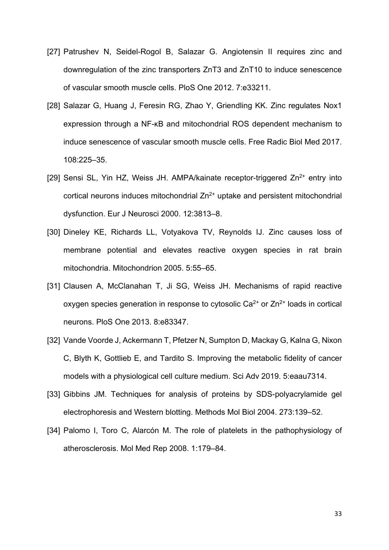- [27] Patrushev N, Seidel-Rogol B, Salazar G. Angiotensin II requires zinc and downregulation of the zinc transporters ZnT3 and ZnT10 to induce senescence of vascular smooth muscle cells. PloS One 2012. 7:e33211.
- [28] Salazar G, Huang J, Feresin RG, Zhao Y, Griendling KK. Zinc regulates Nox1 expression through a NF-κB and mitochondrial ROS dependent mechanism to induce senescence of vascular smooth muscle cells. Free Radic Biol Med 2017. 108:225–35.
- [29] Sensi SL, Yin HZ, Weiss JH. AMPA/kainate receptor-triggered  $Zn^{2+}$  entry into cortical neurons induces mitochondrial  $Zn^{2+}$  uptake and persistent mitochondrial dysfunction. Eur J Neurosci 2000. 12:3813–8.
- [30] Dineley KE, Richards LL, Votyakova TV, Reynolds IJ. Zinc causes loss of membrane potential and elevates reactive oxygen species in rat brain mitochondria. Mitochondrion 2005. 5:55–65.
- [31] Clausen A, McClanahan T, Ji SG, Weiss JH. Mechanisms of rapid reactive oxygen species generation in response to cytosolic  $Ca^{2+}$  or  $Zn^{2+}$  loads in cortical neurons. PloS One 2013. 8:e83347.
- [32] Vande Voorde J, Ackermann T, Pfetzer N, Sumpton D, Mackay G, Kalna G, Nixon C, Blyth K, Gottlieb E, and Tardito S. Improving the metabolic fidelity of cancer models with a physiological cell culture medium. Sci Adv 2019. 5:eaau7314.
- [33] Gibbins JM. Techniques for analysis of proteins by SDS-polyacrylamide gel electrophoresis and Western blotting. Methods Mol Biol 2004. 273:139–52.
- [34] Palomo I, Toro C, Alarcón M. The role of platelets in the pathophysiology of atherosclerosis. Mol Med Rep 2008. 1:179–84.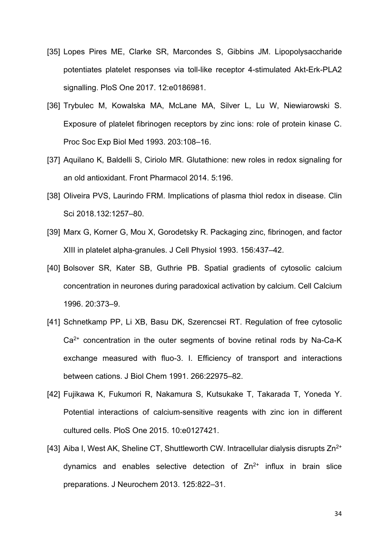- [35] Lopes Pires ME, Clarke SR, Marcondes S, Gibbins JM. Lipopolysaccharide potentiates platelet responses via toll-like receptor 4-stimulated Akt-Erk-PLA2 signalling. PloS One 2017. 12:e0186981.
- [36] Trybulec M, Kowalska MA, McLane MA, Silver L, Lu W, Niewiarowski S. Exposure of platelet fibrinogen receptors by zinc ions: role of protein kinase C. Proc Soc Exp Biol Med 1993. 203:108–16.
- [37] Aquilano K, Baldelli S, Ciriolo MR. Glutathione: new roles in redox signaling for an old antioxidant. Front Pharmacol 2014. 5:196.
- [38] Oliveira PVS, Laurindo FRM. Implications of plasma thiol redox in disease. Clin Sci 2018.132:1257–80.
- [39] Marx G, Korner G, Mou X, Gorodetsky R. Packaging zinc, fibrinogen, and factor XIII in platelet alpha-granules. J Cell Physiol 1993. 156:437–42.
- [40] Bolsover SR, Kater SB, Guthrie PB. Spatial gradients of cytosolic calcium concentration in neurones during paradoxical activation by calcium. Cell Calcium 1996. 20:373–9.
- [41] Schnetkamp PP, Li XB, Basu DK, Szerencsei RT. Regulation of free cytosolic Ca<sup>2+</sup> concentration in the outer segments of bovine retinal rods by Na-Ca-K exchange measured with fluo-3. I. Efficiency of transport and interactions between cations. J Biol Chem 1991. 266:22975–82.
- [42] Fujikawa K, Fukumori R, Nakamura S, Kutsukake T, Takarada T, Yoneda Y. Potential interactions of calcium-sensitive reagents with zinc ion in different cultured cells. PloS One 2015. 10:e0127421.
- [43] Aiba I, West AK, Sheline CT, Shuttleworth CW. Intracellular dialysis disrupts  $Zn^{2+}$ dynamics and enables selective detection of  $Zn^{2+}$  influx in brain slice preparations. J Neurochem 2013. 125:822–31.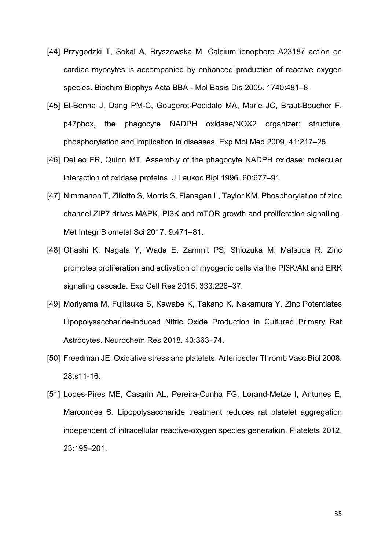- [44] Przygodzki T, Sokal A, Bryszewska M. Calcium ionophore A23187 action on cardiac myocytes is accompanied by enhanced production of reactive oxygen species. Biochim Biophys Acta BBA - Mol Basis Dis 2005. 1740:481–8.
- [45] El-Benna J, Dang PM-C, Gougerot-Pocidalo MA, Marie JC, Braut-Boucher F. p47phox, the phagocyte NADPH oxidase/NOX2 organizer: structure, phosphorylation and implication in diseases. Exp Mol Med 2009. 41:217–25.
- [46] DeLeo FR, Quinn MT. Assembly of the phagocyte NADPH oxidase: molecular interaction of oxidase proteins. J Leukoc Biol 1996. 60:677–91.
- [47] Nimmanon T, Ziliotto S, Morris S, Flanagan L, Taylor KM. Phosphorylation of zinc channel ZIP7 drives MAPK, PI3K and mTOR growth and proliferation signalling. Met Integr Biometal Sci 2017. 9:471–81.
- [48] Ohashi K, Nagata Y, Wada E, Zammit PS, Shiozuka M, Matsuda R. Zinc promotes proliferation and activation of myogenic cells via the PI3K/Akt and ERK signaling cascade. Exp Cell Res 2015. 333:228–37.
- [49] Moriyama M, Fujitsuka S, Kawabe K, Takano K, Nakamura Y. Zinc Potentiates Lipopolysaccharide-induced Nitric Oxide Production in Cultured Primary Rat Astrocytes. Neurochem Res 2018. 43:363–74.
- [50] Freedman JE. Oxidative stress and platelets. Arterioscler Thromb Vasc Biol 2008. 28:s11-16.
- [51] Lopes-Pires ME, Casarin AL, Pereira-Cunha FG, Lorand-Metze I, Antunes E, Marcondes S. Lipopolysaccharide treatment reduces rat platelet aggregation independent of intracellular reactive-oxygen species generation. Platelets 2012. 23:195–201.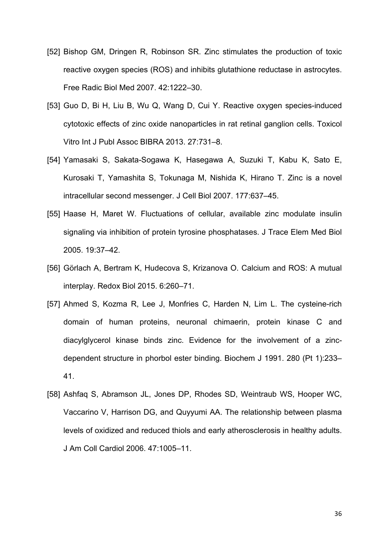- [52] Bishop GM, Dringen R, Robinson SR. Zinc stimulates the production of toxic reactive oxygen species (ROS) and inhibits glutathione reductase in astrocytes. Free Radic Biol Med 2007. 42:1222–30.
- [53] Guo D, Bi H, Liu B, Wu Q, Wang D, Cui Y. Reactive oxygen species-induced cytotoxic effects of zinc oxide nanoparticles in rat retinal ganglion cells. Toxicol Vitro Int J Publ Assoc BIBRA 2013. 27:731–8.
- [54] Yamasaki S, Sakata-Sogawa K, Hasegawa A, Suzuki T, Kabu K, Sato E, Kurosaki T, Yamashita S, Tokunaga M, Nishida K, Hirano T. Zinc is a novel intracellular second messenger. J Cell Biol 2007. 177:637–45.
- [55] Haase H, Maret W. Fluctuations of cellular, available zinc modulate insulin signaling via inhibition of protein tyrosine phosphatases. J Trace Elem Med Biol 2005. 19:37–42.
- [56] Görlach A, Bertram K, Hudecova S, Krizanova O. Calcium and ROS: A mutual interplay. Redox Biol 2015. 6:260–71.
- [57] Ahmed S, Kozma R, Lee J, Monfries C, Harden N, Lim L. The cysteine-rich domain of human proteins, neuronal chimaerin, protein kinase C and diacylglycerol kinase binds zinc. Evidence for the involvement of a zincdependent structure in phorbol ester binding. Biochem J 1991. 280 (Pt 1):233– 41.
- [58] Ashfaq S, Abramson JL, Jones DP, Rhodes SD, Weintraub WS, Hooper WC, Vaccarino V, Harrison DG, and Quyyumi AA. The relationship between plasma levels of oxidized and reduced thiols and early atherosclerosis in healthy adults. J Am Coll Cardiol 2006. 47:1005–11.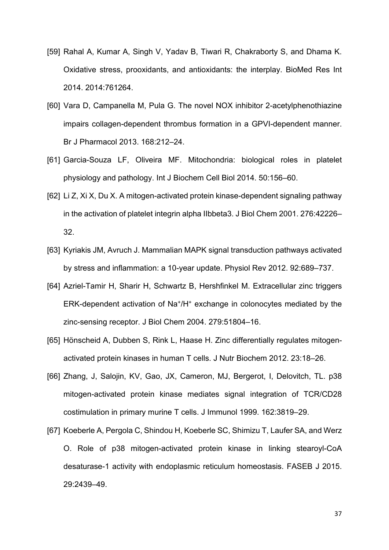- [59] Rahal A, Kumar A, Singh V, Yadav B, Tiwari R, Chakraborty S, and Dhama K. Oxidative stress, prooxidants, and antioxidants: the interplay. BioMed Res Int 2014. 2014:761264.
- [60] Vara D, Campanella M, Pula G. The novel NOX inhibitor 2-acetylphenothiazine impairs collagen-dependent thrombus formation in a GPVI-dependent manner. Br J Pharmacol 2013. 168:212–24.
- [61] Garcia-Souza LF, Oliveira MF. Mitochondria: biological roles in platelet physiology and pathology. Int J Biochem Cell Biol 2014. 50:156–60.
- [62] Li Z, Xi X, Du X. A mitogen-activated protein kinase-dependent signaling pathway in the activation of platelet integrin alpha IIbbeta3. J Biol Chem 2001. 276:42226– 32.
- [63] Kyriakis JM, Avruch J. Mammalian MAPK signal transduction pathways activated by stress and inflammation: a 10-year update. Physiol Rev 2012. 92:689–737.
- [64] Azriel-Tamir H, Sharir H, Schwartz B, Hershfinkel M. Extracellular zinc triggers ERK-dependent activation of Na+/H+ exchange in colonocytes mediated by the zinc-sensing receptor. J Biol Chem 2004. 279:51804–16.
- [65] Hönscheid A, Dubben S, Rink L, Haase H. Zinc differentially regulates mitogenactivated protein kinases in human T cells. J Nutr Biochem 2012. 23:18–26.
- [66] Zhang, J, Salojin, KV, Gao, JX, Cameron, MJ, Bergerot, I, Delovitch, TL. p38 mitogen-activated protein kinase mediates signal integration of TCR/CD28 costimulation in primary murine T cells. J Immunol 1999. 162:3819–29.
- [67] Koeberle A, Pergola C, Shindou H, Koeberle SC, Shimizu T, Laufer SA, and Werz O. Role of p38 mitogen-activated protein kinase in linking stearoyl-CoA desaturase-1 activity with endoplasmic reticulum homeostasis. FASEB J 2015. 29:2439–49.